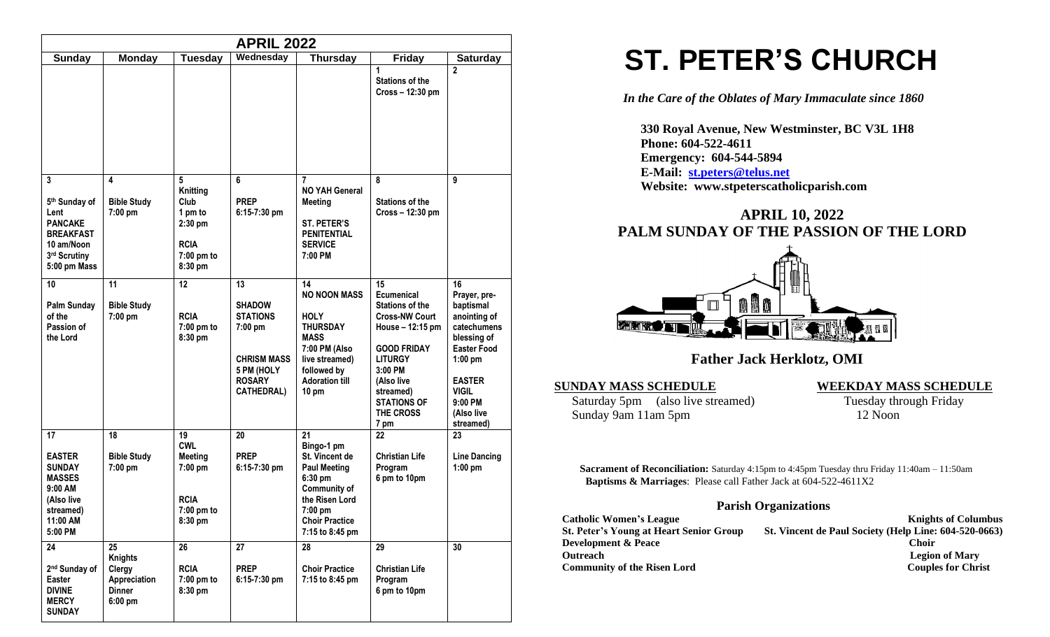| <b>APRIL 2022</b>                                                                                                  |                                                                              |                                                                                         |                                                                                                                               |                                                                                                                                                                          |                                                                                                                                                                                                                         |                                                                                                                                                                                  |
|--------------------------------------------------------------------------------------------------------------------|------------------------------------------------------------------------------|-----------------------------------------------------------------------------------------|-------------------------------------------------------------------------------------------------------------------------------|--------------------------------------------------------------------------------------------------------------------------------------------------------------------------|-------------------------------------------------------------------------------------------------------------------------------------------------------------------------------------------------------------------------|----------------------------------------------------------------------------------------------------------------------------------------------------------------------------------|
| Sunday                                                                                                             | <b>Monday</b>                                                                | <b>Tuesday</b>                                                                          | Wednesday                                                                                                                     | <b>Thursday</b>                                                                                                                                                          | <b>Friday</b>                                                                                                                                                                                                           | <b>Saturday</b>                                                                                                                                                                  |
|                                                                                                                    |                                                                              |                                                                                         |                                                                                                                               |                                                                                                                                                                          | 1<br><b>Stations of the</b><br>Cross - 12:30 pm                                                                                                                                                                         | $\overline{2}$                                                                                                                                                                   |
| 3<br>5th Sunday of<br>Lent<br><b>PANCAKE</b><br><b>BREAKFAST</b><br>10 am/Noon<br>3rd Scrutiny<br>5:00 pm Mass     | 4<br><b>Bible Study</b><br>7:00 pm                                           | 5<br>Knitting<br>Club<br>1 pm to<br>$2:30$ pm<br><b>RCIA</b><br>$7:00$ pm to<br>8:30 pm | 6<br><b>PREP</b><br>$6:15-7:30$ pm                                                                                            | 7<br><b>NO YAH General</b><br><b>Meeting</b><br><b>ST. PETER'S</b><br><b>PENITENTIAL</b><br><b>SERVICE</b><br>7:00 PM                                                    | 8<br><b>Stations of the</b><br>Cross - 12:30 pm                                                                                                                                                                         | 9                                                                                                                                                                                |
| 10<br><b>Palm Sunday</b><br>of the<br>Passion of<br>the Lord                                                       | 11<br><b>Bible Study</b><br>7:00 pm                                          | 12<br><b>RCIA</b><br>7:00 pm to<br>8:30 pm                                              | 13<br><b>SHADOW</b><br><b>STATIONS</b><br>$7:00$ pm<br><b>CHRISM MASS</b><br>5 PM (HOLY<br><b>ROSARY</b><br><b>CATHEDRAL)</b> | 14<br><b>NO NOON MASS</b><br><b>HOLY</b><br><b>THURSDAY</b><br><b>MASS</b><br>7:00 PM (Also<br>live streamed)<br>followed by<br><b>Adoration till</b><br>$10 \text{ pm}$ | 15<br><b>Ecumenical</b><br><b>Stations of the</b><br><b>Cross-NW Court</b><br>House - 12:15 pm<br><b>GOOD FRIDAY</b><br><b>LITURGY</b><br>3:00 PM<br>(Also live<br>streamed)<br><b>STATIONS OF</b><br>THE CROSS<br>7 pm | 16<br>Prayer, pre-<br>baptismal<br>anointing of<br>catechumens<br>blessing of<br><b>Easter Food</b><br>$1:00$ pm<br><b>EASTER</b><br>VIGIL<br>9:00 PM<br>(Also live<br>streamed) |
| 17<br><b>EASTER</b><br><b>SUNDAY</b><br><b>MASSES</b><br>9:00 AM<br>(Also live<br>streamed)<br>11:00 AM<br>5:00 PM | 18<br><b>Bible Study</b><br>$7:00$ pm                                        | 19<br><b>CWL</b><br><b>Meeting</b><br>$7:00$ pm<br><b>RCIA</b><br>7:00 pm to<br>8:30 pm | 20<br><b>PREP</b><br>$6:15-7:30$ pm                                                                                           | 21<br>Bingo-1 pm<br>St. Vincent de<br><b>Paul Meeting</b><br>6:30 pm<br>Community of<br>the Risen Lord<br>7:00 pm<br><b>Choir Practice</b><br>7:15 to 8:45 pm            | 22<br><b>Christian Life</b><br>Program<br>6 pm to 10pm                                                                                                                                                                  | 23<br><b>Line Dancing</b><br>1:00 pm                                                                                                                                             |
| 24<br>2 <sup>nd</sup> Sunday of<br><b>Easter</b><br><b>DIVINE</b><br><b>MERCY</b><br><b>SUNDAY</b>                 | 25<br><b>Knights</b><br>Clergy<br>Appreciation<br><b>Dinner</b><br>$6:00$ pm | 26<br><b>RCIA</b><br>7:00 pm to<br>8:30 pm                                              | 27<br><b>PREP</b><br>6:15-7:30 pm                                                                                             | 28<br><b>Choir Practice</b><br>7:15 to 8:45 pm                                                                                                                           | 29<br><b>Christian Life</b><br>Program<br>6 pm to 10pm                                                                                                                                                                  | 30                                                                                                                                                                               |

# **ST. PETER'S CHURCH**

*In the Care of the Oblates of Mary Immaculate since 1860*

 **330 Royal Avenue, New Westminster, BC V3L 1H8 Phone: 604-522-4611 Emergency: 604-544-5894 E-Mail: [st.peters@telus.net](mailto:st.peters@telus.net) Website: www.stpeterscatholicparish.com**

## **APRIL 10, 2022 PALM SUNDAY OF THE PASSION OF THE LORD**



 **Father Jack Herklotz, OMI**

Saturday 5pm (also live streamed) Tuesday through Friday<br>Sunday 9am 11am 5pm 12 Noon Sunday 9am 11am 5pm

#### **SUNDAY MASS SCHEDULE WEEKDAY MASS SCHEDULE**

**Sacrament of Reconciliation:** Saturday 4:15pm to 4:45pm Tuesday thru Friday 11:40am – 11:50am  **Baptisms & Marriages**: Please call Father Jack at 604-522-4611X2

#### **Parish Organizations**

| <b>Catholic Women's League</b>                 | <b>Knights of Columbus</b>                            |
|------------------------------------------------|-------------------------------------------------------|
| <b>St. Peter's Young at Heart Senior Group</b> | St. Vincent de Paul Society (Help Line: 604-520-0663) |
| <b>Development &amp; Peace</b>                 | Choir                                                 |
| <b>Outreach</b>                                | <b>Legion of Mary</b>                                 |
| <b>Community of the Risen Lord</b>             | <b>Couples for Christ</b>                             |